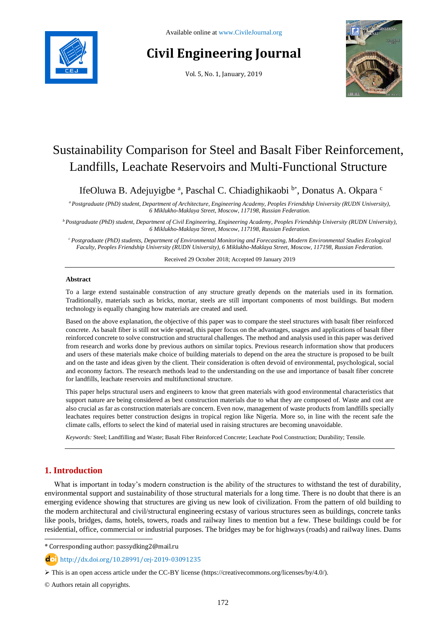

# **Civil Engineering Journal**

Vol. 5, No. 1, January, 2019



# Sustainability Comparison for Steel and Basalt Fiber Reinforcement, Landfills, Leachate Reservoirs and Multi-Functional Structure

IfeOluwa B. Adejuyigbe <sup>a</sup>, Paschal C. Chiadighikaobi b\*, Donatus A. Okpara c

*<sup>a</sup> Postgraduate (PhD) student, Department of Architecture, Engineering Academy, Peoples Friendship University (RUDN University), 6 Miklukho-Maklaya Street, Moscow, 117198, Russian Federation.*

*<sup>b</sup>Postgraduate (PhD) student, Department of Civil Engineering, Engineering Academy, Peoples Friendship University (RUDN University), 6 Miklukho-Maklaya Street, Moscow, 117198, Russian Federation.*

*<sup>c</sup>Postgraduate (PhD) students, Department of Environmental Monitoring and Forecasting, Modern Environmental Studies Ecological Faculty, Peoples Friendship University (RUDN University), 6 Miklukho-Maklaya Street, Moscow, 117198, Russian Federation.*

Received 29 October 2018; Accepted 09 January 2019

# **Abstract**

To a large extend sustainable construction of any structure greatly depends on the materials used in its formation. Traditionally, materials such as bricks, mortar, steels are still important components of most buildings. But modern technology is equally changing how materials are created and used.

Based on the above explanation, the objective of this paper was to compare the steel structures with basalt fiber reinforced concrete. As basalt fiber is still not wide spread, this paper focus on the advantages, usages and applications of basalt fiber reinforced concrete to solve construction and structural challenges. The method and analysis used in this paper was derived from research and works done by previous authors on similar topics. Previous research information show that producers and users of these materials make choice of building materials to depend on the area the structure is proposed to be built and on the taste and ideas given by the client. Their consideration is often devoid of environmental, psychological, social and economy factors. The research methods lead to the understanding on the use and importance of basalt fiber concrete for landfills, leachate reservoirs and multifunctional structure.

This paper helps structural users and engineers to know that green materials with good environmental characteristics that support nature are being considered as best construction materials due to what they are composed of. Waste and cost are also crucial as far as construction materials are concern. Even now, management of waste products from landfills specially leachates requires better construction designs in tropical region like Nigeria. More so, in line with the recent safe the climate calls, efforts to select the kind of material used in raising structures are becoming unavoidable.

*Keywords:* Steel; Landfilling and Waste; Basalt Fiber Reinforced Concrete; Leachate Pool Construction; Durability; Tensile.

# **1. Introduction**

l

What is important in today's modern construction is the ability of the structures to withstand the test of durability, environmental support and sustainability of those structural materials for a long time. There is no doubt that there is an emerging evidence showing that structures are giving us new look of civilization. From the pattern of old building to the modern architectural and civil/structural engineering ecstasy of various structures seen as buildings, concrete tanks like pools, bridges, dams, hotels, towers, roads and railway lines to mention but a few. These buildings could be for residential, office, commercial or industrial purposes. The bridges may be for highways (roads) and railway lines. Dams

© Authors retain all copyrights.

<sup>\*</sup> Corresponding author: passydking2@mail.ru

http://dx.doi.org/10.28991/cej-2019-03091235

This is an open access article under the CC-BY license [\(https://creativecommons.org/licenses/by/4.0/\)](https://creativecommons.org/licenses/by/4.0/).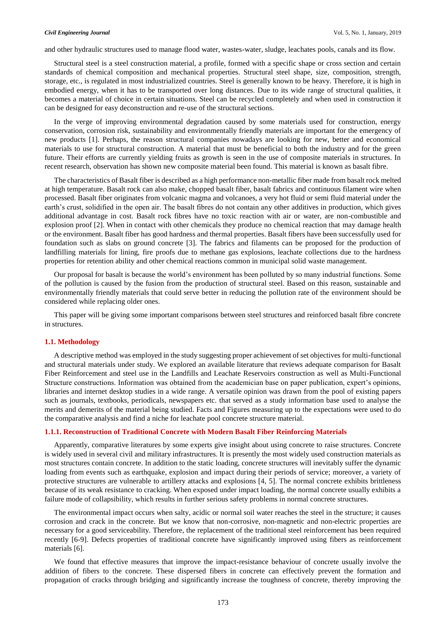and other hydraulic structures used to manage flood water, wastes-water, sludge, leachates pools, canals and its flow.

Structural steel is a steel construction material, a profile, formed with a specific shape or cross section and certain standards of chemical composition and mechanical properties. Structural steel shape, size, composition, strength, storage, etc., is regulated in most industrialized countries. Steel is generally known to be heavy. Therefore, it is high in embodied energy, when it has to be transported over long distances. Due to its wide range of structural qualities, it becomes a material of choice in certain situations. Steel can be recycled completely and when used in construction it can be designed for easy deconstruction and re-use of the structural sections.

In the verge of improving environmental degradation caused by some materials used for construction, energy conservation, corrosion risk, sustainability and environmentally friendly materials are important for the emergency of new products [1]. Perhaps, the reason structural companies nowadays are looking for new, better and economical materials to use for structural construction. A material that must be beneficial to both the industry and for the green future. Their efforts are currently yielding fruits as growth is seen in the use of composite materials in structures. In recent research, observation has shown new composite material been found. This material is known as basalt fibre.

The characteristics of Basalt fiber is described as a high performance non-metallic fiber made from basalt rock melted at high temperature. Basalt rock can also make, chopped basalt fiber, basalt fabrics and continuous filament wire when processed. Basalt fiber originates from volcanic magma and volcanoes, a very hot fluid or semi fluid material under the earth's crust, solidified in the open air. The basalt fibres do not contain any other additives in production, which gives additional advantage in cost. Basalt rock fibres have no toxic reaction with air or water, are non-combustible and explosion proof [2]. When in contact with other chemicals they produce no chemical reaction that may damage health or the environment. Basalt fiber has good hardness and thermal properties. Basalt fibers have been successfully used for foundation such as slabs on ground concrete [3]. The fabrics and filaments can be proposed for the production of landfilling materials for lining, fire proofs due to methane gas explosions, leachate collections due to the hardness properties for retention ability and other chemical reactions common in municipal solid waste management.

Our proposal for basalt is because the world's environment has been polluted by so many industrial functions. Some of the pollution is caused by the fusion from the production of structural steel. Based on this reason, sustainable and environmentally friendly materials that could serve better in reducing the pollution rate of the environment should be considered while replacing older ones.

This paper will be giving some important comparisons between steel structures and reinforced basalt fibre concrete in structures.

#### **1.1. Methodology**

A descriptive method was employed in the study suggesting proper achievement of set objectives for multi-functional and structural materials under study. We explored an available literature that reviews adequate comparison for Basalt Fiber Reinforcement and steel use in the Landfills and Leachate Reservoirs construction as well as Multi-Functional Structure constructions. Information was obtained from the academician base on paper publication, expert's opinions, libraries and internet desktop studies in a wide range. A versatile opinion was drawn from the pool of existing papers such as journals, textbooks, periodicals, newspapers etc. that served as a study information base used to analyse the merits and demerits of the material being studied. Facts and Figures measuring up to the expectations were used to do the comparative analysis and find a niche for leachate pool concrete structure material.

# **1.1.1. Reconstruction of Traditional Concrete with Modern Basalt Fiber Reinforcing Materials**

Apparently, comparative literatures by some experts give insight about using concrete to raise structures. Concrete is widely used in several civil and military infrastructures. It is presently the most widely used construction materials as most structures contain concrete. In addition to the static loading, concrete structures will inevitably suffer the dynamic loading from events such as earthquake, explosion and impact during their periods of service; moreover, a variety of protective structures are vulnerable to artillery attacks and explosions [4, 5]. The normal concrete exhibits brittleness because of its weak resistance to cracking. When exposed under impact loading, the normal concrete usually exhibits a failure mode of collapsibility, which results in further serious safety problems in normal concrete structures.

The environmental impact occurs when salty, acidic or normal soil water reaches the steel in the structure; it causes corrosion and crack in the concrete. But we know that non-corrosive, non-magnetic and non-electric properties are necessary for a good serviceability. Therefore, the replacement of the traditional steel reinforcement has been required recently [6-9]. Defects properties of traditional concrete have significantly improved using fibers as reinforcement materials [6].

We found that effective measures that improve the impact-resistance behaviour of concrete usually involve the addition of fibers to the concrete. These dispersed fibers in concrete can effectively prevent the formation and propagation of cracks through bridging and significantly increase the toughness of concrete, thereby improving the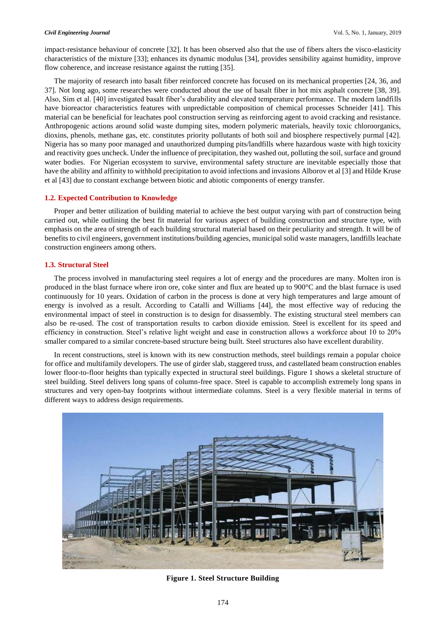impact-resistance behaviour of concrete [32]. It has been observed also that the use of fibers alters the visco-elasticity characteristics of the mixture [33]; enhances its dynamic modulus [34], provides sensibility against humidity, improve flow coherence, and increase resistance against the rutting [35].

The majority of research into basalt fiber reinforced concrete has focused on its mechanical properties [24, 36, and 37]. Not long ago, some researches were conducted about the use of basalt fiber in hot mix asphalt concrete [38, 39]. Also, Sim et al. [40] investigated basalt fiber's durability and elevated temperature performance. The modern landfills have bioreactor characteristics features with unpredictable composition of chemical processes Schneider [41]. This material can be beneficial for leachates pool construction serving as reinforcing agent to avoid cracking and resistance. Anthropogenic actions around solid waste dumping sites, modern polymeric materials, heavily toxic chloroorganics, dioxins, phenols, methane gas, etc. constitutes priority pollutants of both soil and biosphere respectively purmal [42]. Nigeria has so many poor managed and unauthorized dumping pits/landfills where hazardous waste with high toxicity and reactivity goes uncheck. Under the influence of precipitation, they washed out, polluting the soil, surface and ground water bodies. For Nigerian ecosystem to survive, environmental safety structure are inevitable especially those that have the ability and affinity to withhold precipitation to avoid infections and invasions Alborov et al [3] and Hilde Kruse et al [43] due to constant exchange between biotic and abiotic components of energy transfer.

# **1.2. Expected Contribution to Knowledge**

Proper and better utilization of building material to achieve the best output varying with part of construction being carried out, while outlining the best fit material for various aspect of building construction and structure type, with emphasis on the area of strength of each building structural material based on their peculiarity and strength. It will be of benefits to civil engineers, government institutions/building agencies, municipal solid waste managers, landfills leachate construction engineers among others.

# **1.3. Structural Steel**

The process involved in manufacturing steel requires a lot of energy and the procedures are many. Molten iron is produced in the blast furnace where iron ore, coke sinter and flux are heated up to 900°C and the blast furnace is used continuously for 10 years. Oxidation of carbon in the process is done at very high temperatures and large amount of energy is involved as a result. According to Catalli and Williams [44], the most effective way of reducing the environmental impact of steel in construction is to design for disassembly. The existing structural steel members can also be re-used. The cost of transportation results to carbon dioxide emission. Steel is excellent for its speed and efficiency in construction. Steel's relative light weight and ease in construction allows a workforce about 10 to 20% smaller compared to a similar concrete-based structure being built. Steel structures also have excellent durability.

In recent constructions, steel is known with its new construction methods, steel buildings remain a popular choice for office and multifamily developers. The use of girder slab, staggered truss, and castellated beam construction enables lower floor-to-floor heights than typically expected in structural steel buildings. Figure 1 shows a skeletal structure of steel building. Steel delivers long spans of column-free space. Steel is capable to accomplish extremely long spans in structures and very open-bay footprints without intermediate columns. Steel is a very flexible material in terms of different ways to address design requirements.



**Figure 1. Steel Structure Building**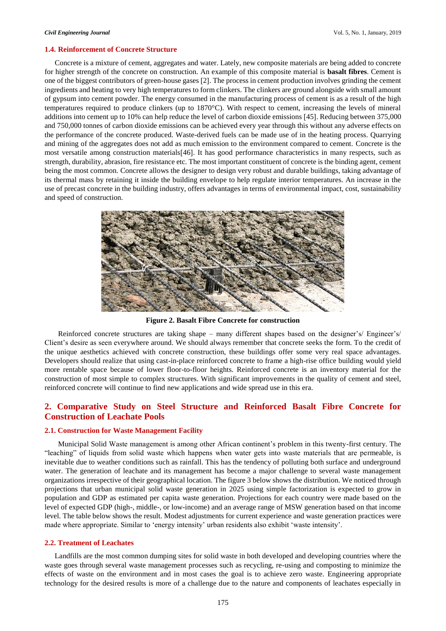#### **1.4. Reinforcement of Concrete Structure**

Concrete is a mixture of cement, aggregates and water. Lately, new composite materials are being added to concrete for higher strength of the concrete on construction. An example of this composite material is **basalt fibres**. Cement is one of the biggest contributors of green-house gases [2]. The process in cement production involves grinding the cement ingredients and heating to very high temperatures to form clinkers. The clinkers are ground alongside with small amount of gypsum into cement powder. The energy consumed in the manufacturing process of cement is as a result of the high temperatures required to produce clinkers (up to 1870°C). With respect to cement, increasing the levels of mineral additions into cement up to 10% can help reduce the level of carbon dioxide emissions [45]. Reducing between 375,000 and 750,000 tonnes of carbon dioxide emissions can be achieved every year through this without any adverse effects on the performance of the concrete produced. Waste-derived fuels can be made use of in the heating process. Quarrying and mining of the aggregates does not add as much emission to the environment compared to cement. Concrete is the most versatile among construction materials<sup>[46]</sup>. It has good performance characteristics in many respects, such as strength, durability, abrasion, fire resistance etc. The most important constituent of concrete is the binding agent, cement being the most common. Concrete allows the designer to design very robust and durable buildings, taking advantage of its thermal mass by retaining it inside the building envelope to help regulate interior temperatures. An increase in the use of precast concrete in the building industry, offers advantages in terms of environmental impact, cost, sustainability and speed of construction.



**Figure 2. Basalt Fibre Concrete for construction**

Reinforced concrete structures are taking shape – many different shapes based on the designer's/ Engineer's/ Client's desire as seen everywhere around. We should always remember that concrete seeks the form. To the credit of the unique aesthetics achieved with concrete construction, these buildings offer some very real space advantages. Developers should realize that using cast-in-place reinforced concrete to frame a high-rise office building would yield more rentable space because of lower floor-to-floor heights. Reinforced concrete is an inventory material for the construction of most simple to complex structures. With significant improvements in the quality of cement and steel, reinforced concrete will continue to find new applications and wide spread use in this era.

# **2. Comparative Study on Steel Structure and Reinforced Basalt Fibre Concrete for Construction of Leachate Pools**

#### **2.1. Construction for Waste Management Facility**

Municipal Solid Waste management is among other African continent's problem in this twenty-first century. The "leaching" of liquids from solid waste which happens when water gets into waste materials that are permeable, is inevitable due to weather conditions such as rainfall. This has the tendency of polluting both surface and underground water. The generation of leachate and its management has become a major challenge to several waste management organizations irrespective of their geographical location. The figure 3 below shows the distribution. We noticed through projections that urban municipal solid waste generation in 2025 using simple factorization is expected to grow in population and GDP as estimated per capita waste generation. Projections for each country were made based on the level of expected GDP (high-, middle-, or low-income) and an average range of MSW generation based on that income level. The table below shows the result. Modest adjustments for current experience and waste generation practices were made where appropriate. Similar to 'energy intensity' urban residents also exhibit 'waste intensity'.

# **2.2. Treatment of Leachates**

Landfills are the most common dumping sites for solid waste in both developed and developing countries where the waste goes through several waste management processes such as recycling, re-using and composting to minimize the effects of waste on the environment and in most cases the goal is to achieve zero waste. Engineering appropriate technology for the desired results is more of a challenge due to the nature and components of leachates especially in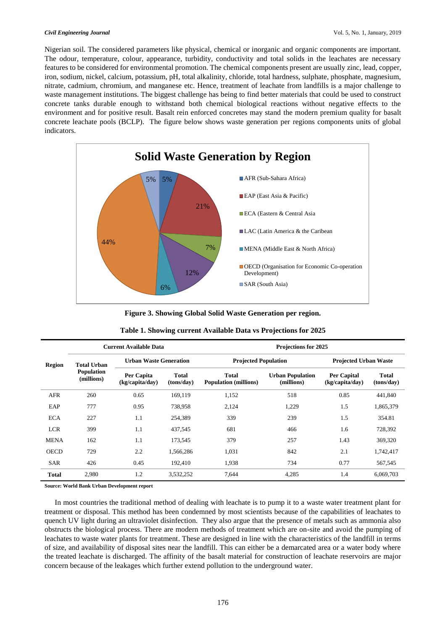Nigerian soil. The considered parameters like physical, chemical or inorganic and organic components are important. The odour, temperature, colour, appearance, turbidity, conductivity and total solids in the leachates are necessary features to be considered for environmental promotion. The chemical components present are usually zinc, lead, copper, iron, sodium, nickel, calcium, potassium, pH, total alkalinity, chloride, total hardness, sulphate, phosphate, magnesium, nitrate, cadmium, chromium, and manganese etc. Hence, treatment of leachate from landfills is a major challenge to waste management institutions. The biggest challenge has being to find better materials that could be used to construct concrete tanks durable enough to withstand both chemical biological reactions without negative effects to the environment and for positive result. Basalt rein enforced concretes may stand the modern premium quality for basalt concrete leachate pools (BCLP). The figure below shows waste generation per regions components units of global indicators.



**Figure 3. Showing Global Solid Waste Generation per region.**

| <b>Region</b> | <b>Current Available Data</b>                         |                               |                            | Projections for 2025                         |                                       |                                |                            |
|---------------|-------------------------------------------------------|-------------------------------|----------------------------|----------------------------------------------|---------------------------------------|--------------------------------|----------------------------|
|               | <b>Total Urban</b><br><b>Population</b><br>(millions) | <b>Urban Waste Generation</b> |                            | <b>Projected Population</b>                  |                                       | <b>Projected Urban Waste</b>   |                            |
|               |                                                       | Per Capita<br>(kg/capita/day) | <b>Total</b><br>(tons/day) | <b>Total</b><br><b>Population (millions)</b> | <b>Urban Population</b><br>(millions) | Per Capital<br>(kg/capita/day) | <b>Total</b><br>(tons/day) |
| <b>AFR</b>    | 260                                                   | 0.65                          | 169,119                    | 1,152                                        | 518                                   | 0.85                           | 441,840                    |
| EAP           | 777                                                   | 0.95                          | 738,958                    | 2,124                                        | 1,229                                 | 1.5                            | 1,865,379                  |
| <b>ECA</b>    | 227                                                   | 1.1                           | 254,389                    | 339                                          | 239                                   | 1.5                            | 354.81                     |
| <b>LCR</b>    | 399                                                   | 1.1                           | 437,545                    | 681                                          | 466                                   | 1.6                            | 728,392                    |
| <b>MENA</b>   | 162                                                   | 1.1                           | 173,545                    | 379                                          | 257                                   | 1.43                           | 369,320                    |
| <b>OECD</b>   | 729                                                   | 2.2                           | 1,566,286                  | 1,031                                        | 842                                   | 2.1                            | 1,742,417                  |
| <b>SAR</b>    | 426                                                   | 0.45                          | 192.410                    | 1,938                                        | 734                                   | 0.77                           | 567,545                    |
| <b>Total</b>  | 2,980                                                 | 1.2                           | 3,532,252                  | 7,644                                        | 4,285                                 | 1.4                            | 6,069,703                  |

**Source: World Bank Urban Development report**

In most countries the traditional method of dealing with leachate is to pump it to a waste water treatment plant for treatment or disposal. This method has been condemned by most scientists because of the capabilities of leachates to quench UV light during an ultraviolet disinfection. They also argue that the presence of metals such as ammonia also obstructs the biological process. There are modern methods of treatment which are on-site and avoid the pumping of leachates to waste water plants for treatment. These are designed in line with the characteristics of the landfill in terms of size, and availability of disposal sites near the landfill. This can either be a demarcated area or a water body where the treated leachate is discharged. The affinity of the basalt material for construction of leachate reservoirs are major concern because of the leakages which further extend pollution to the underground water.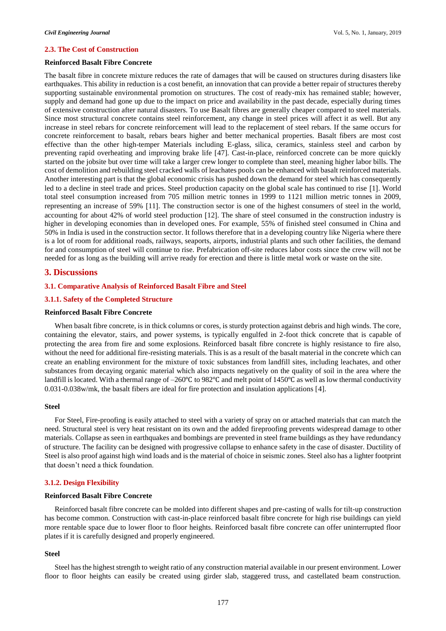# **2.3. The Cost of Construction**

### **Reinforced Basalt Fibre Concrete**

The basalt fibre in concrete mixture reduces the rate of damages that will be caused on structures during disasters like earthquakes. This ability in reduction is a cost benefit, an innovation that can provide a better repair of structures thereby supporting sustainable environmental promotion on structures. The cost of ready-mix has remained stable; however, supply and demand had gone up due to the impact on price and availability in the past decade, especially during times of extensive construction after natural disasters. To use Basalt fibres are generally cheaper compared to steel materials. Since most structural concrete contains steel reinforcement, any change in steel prices will affect it as well. But any increase in steel rebars for concrete reinforcement will lead to the replacement of steel rebars. If the same occurs for concrete reinforcement to basalt, rebars bears higher and better mechanical properties. Basalt fibers are most cost effective than the other high-temper Materials including E-glass, silica, ceramics, stainless steel and carbon by preventing rapid overheating and improving brake life [47]. Cast-in-place, reinforced concrete can be more quickly started on the jobsite but over time will take a larger crew longer to complete than steel, meaning higher labor bills. The cost of demolition and rebuilding steel cracked walls of leachates pools can be enhanced with basalt reinforced materials. Another interesting part is that the global economic crisis has pushed down the demand for steel which has consequently led to a decline in steel trade and prices. Steel production capacity on the global scale has continued to rise [1]. World total steel consumption increased from 705 million metric tonnes in 1999 to 1121 million metric tonnes in 2009, representing an increase of 59% [11]. The construction sector is one of the highest consumers of steel in the world, accounting for about 42% of world steel production [12]. The share of steel consumed in the construction industry is higher in developing economies than in developed ones. For example, 55% of finished steel consumed in China and 50% in India is used in the construction sector. It follows therefore that in a developing country like Nigeria where there is a lot of room for additional roads, railways, seaports, airports, industrial plants and such other facilities, the demand for and consumption of steel will continue to rise. Prefabrication off-site reduces labor costs since the crew will not be needed for as long as the building will arrive ready for erection and there is little metal work or waste on the site.

#### **3. Discussions**

# **3.1. Comparative Analysis of Reinforced Basalt Fibre and Steel**

# **3.1.1. Safety of the Completed Structure**

#### **Reinforced Basalt Fibre Concrete**

When basalt fibre concrete, is in thick columns or cores, is sturdy protection against debris and high winds. The core, containing the elevator, stairs, and power systems, is typically engulfed in 2-foot thick concrete that is capable of protecting the area from fire and some explosions. Reinforced basalt fibre concrete is highly resistance to fire also, without the need for additional fire-resisting materials. This is as a result of the basalt material in the concrete which can create an enabling environment for the mixture of toxic substances from landfill sites, including leachates, and other substances from decaying organic material which also impacts negatively on the quality of soil in the area where the landfill is located. With a thermal range of –260℃ to 982℃ and melt point of 1450℃ as well as low thermal conductivity 0.031-0.038w/mk, the basalt fibers are ideal for fire protection and insulation applications [4].

# **Steel**

For Steel, Fire-proofing is easily attached t[o steel](https://my.whirlwindsteel.com/blog/bid/190954/Fire-proofing-Your-Steel-Building) with a variety of spray on or attached materials that can match the need. Structural steel is very heat resistant on its own and the added fireproofing prevents widespread damage to other materials. Collapse as seen in earthquakes and bombings are prevented i[n steel frame buildings](https://www.whirlwindsteel.com/pub/Building-Types) as they have redundancy of structure. The facility can be designed with progressive collapse to enhance safety in the case of disaster. Ductility of Steel is also proof against high wind loads and is the material of choice in seismic zones. Steel also has a lighter footprint that doesn't need a thick foundation.

# **3.1.2. Design Flexibility**

## **Reinforced Basalt Fibre Concrete**

Reinforced basalt fibre concrete can be molded into different shapes and pre-casting of walls for tilt-up construction has become common. Construction with cast-in-place reinforced basalt fibre concrete for high rise buildings can yield more rentable space due to lower floor to floor heights. Reinforced basalt fibre concrete can offer uninterrupted floor plates if it is carefully designed and properly engineered.

# **Steel**

Steel has the highest strength to weight ratio of any construction material available in our present environment. Lower floor to floor heights can easily be created using girder slab, staggered truss, and castellated beam construction.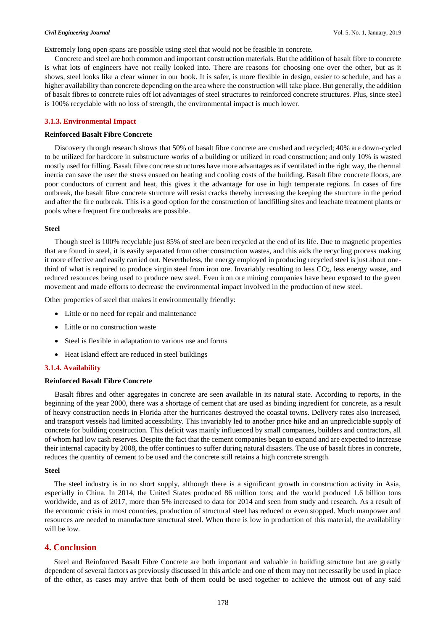Extremely long open spans are possible using steel that would not be feasible in concrete.

Concrete and steel are both common and important construction materials. But the addition of basalt fibre to concrete is what lots of engineers have not really looked into. There are reasons for choosing one over the other, but as it shows, steel looks like a clear winner in our book. It is safer, is more flexible in design, easier to schedule, and has a higher availability than concrete depending on the area where the construction will take place. But generally, the addition of basalt fibres to concrete rules off lot advantages of steel structures to reinforced concrete structures. Plus, since steel is 100% recyclable with no loss of strength, the environmental impact is much lower.

# **3.1.3. Environmental Impact**

# **Reinforced Basalt Fibre Concrete**

Discovery through research shows that 50% of basalt fibre concrete are crushed and recycled; 40% are down-cycled to be utilized for hardcore in substructure works of a building or utilized in road construction; and only 10% is wasted mostly used for filling. Basalt fibre concrete structures have more advantages as if ventilated in the right way, the thermal inertia can save the user the stress ensued on heating and cooling costs of the building. Basalt fibre concrete floors, are poor conductors of current and heat, this gives it the advantage for use in high temperate regions. In cases of fire outbreak, the basalt fibre concrete structure will resist cracks thereby increasing the keeping the structure in the period and after the fire outbreak. This is a good option for the construction of landfilling sites and leachate treatment plants or pools where frequent fire outbreaks are possible.

#### **Steel**

Though steel is 100% recyclable just [85% of steel are been recycled at the end of its life.](https://my.whirlwindsteel.com/blog/bid/310988/How-is-Steel-Recycled) Due to magnetic properties that are found in steel, it is easily separated from other construction wastes, and this aids the recycling process making it more effective and easily carried out. Nevertheless, the energy employed in producing recycled steel is just about onethird of what is required to produce virgin steel from iron ore. Invariably resulting to less  $CO<sub>2</sub>$ , less energy waste, and reduced resources being used to produce new steel. Even iron ore mining companies have been exposed to the green movement and made efforts to decrease the environmental impact involved in the production of new steel.

Other properties of steel that makes it environmentally friendly:

- Little or no need for repair and maintenance
- Little or no construction waste
- Steel is flexible in adaptation to various use and forms
- Heat Island effect are reduced in steel buildings

# **3.1.4. Availability**

# **Reinforced Basalt Fibre Concrete**

Basalt fibres and other aggregates in concrete are seen available in its natural state. According to reports, in the beginning of the year 2000, there was a shortage of cement that are used as binding ingredient for concrete, as a result of heavy construction needs in Florida after the hurricanes destroyed the coastal towns. Delivery rates also increased, and transport vessels had limited accessibility. This invariably led to another price hike and an unpredictable supply of concrete for building construction. This deficit was mainly influenced by small companies, builders and contractors, all of whom had low cash reserves. Despite the fact that the cement companies began to expand and are expected to increase their internal capacity by 2008, the offer continues to suffer during natural disasters. The use of basalt fibres in concrete, reduces the quantity of cement to be used and the concrete still retains a high concrete strength.

# **Steel**

The steel industry is in no short supply, although there is a significant growth in construction activity in Asia, especially in China. In 2014, the United States produced 86 million tons; and the world produced 1.6 billion tons worldwide, and as of 2017, more than 5% increased to data for 2014 and seen from study and research. As a result of the economic crisis in most countries, production of structural steel has reduced or even stopped. Much manpower and resources are needed to manufacture structural steel. When there is low in production of this material, the availability will be low.

# **4. Conclusion**

Steel and Reinforced Basalt Fibre Concrete are both important and valuable in building structure but are greatly dependent of several factors as previously discussed in this article and one of them may not necessarily be used in place of the other, as cases may arrive that both of them could be used together to achieve the utmost out of any said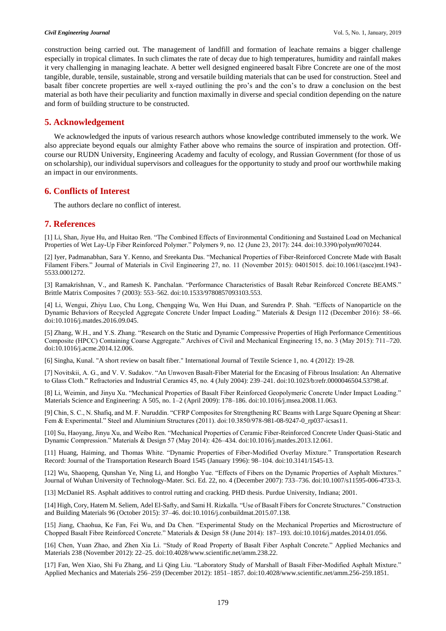construction being carried out. The management of landfill and formation of leachate remains a bigger challenge especially in tropical climates. In such climates the rate of decay due to high temperatures, humidity and rainfall makes it very challenging in managing leachate. A better well designed engineered basalt Fibre Concrete are one of the most tangible, durable, tensile, sustainable, strong and versatile building materials that can be used for construction. Steel and basalt fiber concrete properties are well x-rayed outlining the pro's and the con's to draw a conclusion on the best material as both have their peculiarity and function maximally in diverse and special condition depending on the nature and form of building structure to be constructed.

# **5. Acknowledgement**

We acknowledged the inputs of various research authors whose knowledge contributed immensely to the work. We also appreciate beyond equals our almighty Father above who remains the source of inspiration and protection. Offcourse our RUDN University, Engineering Academy and faculty of ecology, and Russian Government (for those of us on scholarship), our individual supervisors and colleagues for the opportunity to study and proof our worthwhile making an impact in our environments.

# **6. Conflicts of Interest**

The authors declare no conflict of interest.

# **7. References**

[1] Li, Shan, Jiyue Hu, and Huitao Ren. "The Combined Effects of Environmental Conditioning and Sustained Load on Mechanical Properties of Wet Lay-Up Fiber Reinforced Polymer." Polymers 9, no. 12 (June 23, 2017): 244. doi:10.3390/polym9070244.

[2] Iyer, Padmanabhan, Sara Y. Kenno, and Sreekanta Das. "Mechanical Properties of Fiber-Reinforced Concrete Made with Basalt Filament Fibers." Journal of Materials in Civil Engineering 27, no. 11 (November 2015): 04015015. doi:10.1061/(asce)mt.1943- 5533.0001272.

[3] Ramakrishnan, V., and Ramesh K. Panchalan. "Performance Characteristics of Basalt Rebar Reinforced Concrete BEAMS." Brittle Matrix Composites 7 (2003): 553–562. doi:10.1533/9780857093103.553.

[4] Li, Wengui, Zhiyu Luo, Chu Long, Chengqing Wu, Wen Hui Duan, and Surendra P. Shah. "Effects of Nanoparticle on the Dynamic Behaviors of Recycled Aggregate Concrete Under Impact Loading." Materials & Design 112 (December 2016): 58–66. doi:10.1016/j.matdes.2016.09.045.

[5] Zhang, W.H., and Y.S. Zhang. "Research on the Static and Dynamic Compressive Properties of High Performance Cementitious Composite (HPCC) Containing Coarse Aggregate." Archives of Civil and Mechanical Engineering 15, no. 3 (May 2015): 711–720. doi:10.1016/j.acme.2014.12.006.

[6] Singha, Kunal. "A short review on basalt fiber." International Journal of Textile Science 1, no. 4 (2012): 19-28.

[7] Novitskii, A. G., and V. V. Sudakov. "An Unwoven Basalt-Fiber Material for the Encasing of Fibrous Insulation: An Alternative to Glass Cloth." Refractories and Industrial Ceramics 45, no. 4 (July 2004): 239–241. doi:10.1023/b:refr.0000046504.53798.af.

[8] Li, Weimin, and Jinyu Xu. "Mechanical Properties of Basalt Fiber Reinforced Geopolymeric Concrete Under Impact Loading." Materials Science and Engineering: A 505, no. 1–2 (April 2009): 178–186. doi:10.1016/j.msea.2008.11.063.

[9] Chin, S. C., N. Shafiq, and M. F. Nuruddin. "CFRP Composites for Strengthening RC Beams with Large Square Opening at Shear: Fem & Experimental." Steel and Aluminium Structures (2011). doi:10.3850/978-981-08-9247-0\_rp037-icsas11.

[10] Su, Haoyang, Jinyu Xu, and Weibo Ren. "Mechanical Properties of Ceramic Fiber-Reinforced Concrete Under Quasi-Static and Dynamic Compression." Materials & Design 57 (May 2014): 426–434. doi:10.1016/j.matdes.2013.12.061.

[11] Huang, Haiming, and Thomas White. "Dynamic Properties of Fiber-Modified Overlay Mixture." Transportation Research Record: Journal of the Transportation Research Board 1545 (January 1996): 98–104. doi:10.3141/1545-13.

[12] Wu, Shaopeng, Qunshan Ye, Ning Li, and Hongbo Yue. "Effects of Fibers on the Dynamic Properties of Asphalt Mixtures." Journal of Wuhan University of Technology-Mater. Sci. Ed. 22, no. 4 (December 2007): 733–736. doi:10.1007/s11595-006-4733-3.

[13] McDaniel RS. Asphalt additives to control rutting and cracking. PHD thesis. Purdue University, Indiana; 2001.

[14] High, Cory, Hatem M. Seliem, Adel El-Safty, and Sami H. Rizkalla. "Use of Basalt Fibers for Concrete Structures." Construction and Building Materials 96 (October 2015): 37–46. doi:10.1016/j.conbuildmat.2015.07.138.

[15] Jiang, Chaohua, Ke Fan, Fei Wu, and Da Chen. "Experimental Study on the Mechanical Properties and Microstructure of Chopped Basalt Fibre Reinforced Concrete." Materials & Design 58 (June 2014): 187–193. doi:10.1016/j.matdes.2014.01.056.

[16] Chen, Yuan Zhao, and Zhen Xia Li. "Study of Road Property of Basalt Fiber Asphalt Concrete." Applied Mechanics and Materials 238 (November 2012): 22–25. doi:10.4028/www.scientific.net/amm.238.22.

[17] Fan, Wen Xiao, Shi Fu Zhang, and Li Qing Liu. "Laboratory Study of Marshall of Basalt Fiber-Modified Asphalt Mixture." Applied Mechanics and Materials 256–259 (December 2012): 1851–1857. doi:10.4028/www.scientific.net/amm.256-259.1851.